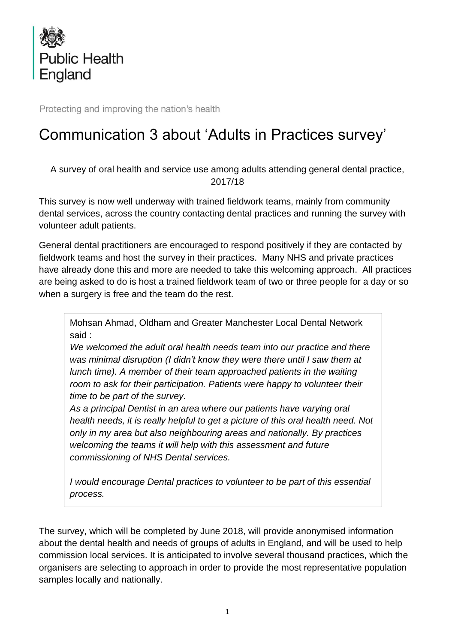

Protecting and improving the nation's health

## Communication 3 about 'Adults in Practices survey'

A survey of oral health and service use among adults attending general dental practice, 2017/18

This survey is now well underway with trained fieldwork teams, mainly from community dental services, across the country contacting dental practices and running the survey with volunteer adult patients.

General dental practitioners are encouraged to respond positively if they are contacted by fieldwork teams and host the survey in their practices. Many NHS and private practices have already done this and more are needed to take this welcoming approach. All practices are being asked to do is host a trained fieldwork team of two or three people for a day or so when a surgery is free and the team do the rest.

Mohsan Ahmad, Oldham and Greater Manchester Local Dental Network said :

*We welcomed the adult oral health needs team into our practice and there was minimal disruption (I didn't know they were there until I saw them at lunch time). A member of their team approached patients in the waiting room to ask for their participation. Patients were happy to volunteer their time to be part of the survey.*

*As a principal Dentist in an area where our patients have varying oral health needs, it is really helpful to get a picture of this oral health need. Not only in my area but also neighbouring areas and nationally. By practices welcoming the teams it will help with this assessment and future commissioning of NHS Dental services.*

*I would encourage Dental practices to volunteer to be part of this essential process.*

The survey, which will be completed by June 2018, will provide anonymised information about the dental health and needs of groups of adults in England, and will be used to help commission local services. It is anticipated to involve several thousand practices, which the organisers are selecting to approach in order to provide the most representative population samples locally and nationally.